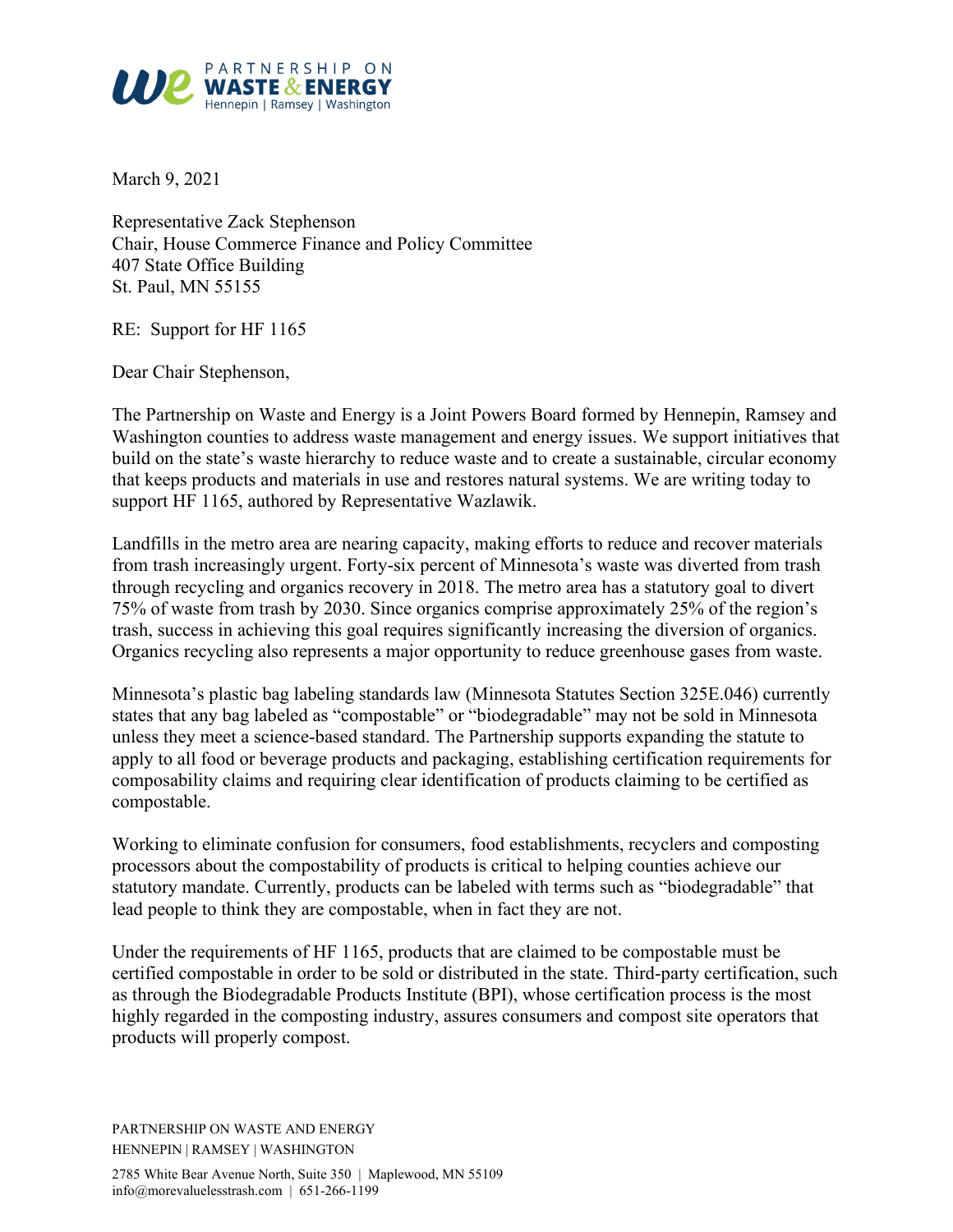

March 9, 2021

Representative Zack Stephenson Chair, House Commerce Finance and Policy Committee 407 State Office Building St. Paul, MN 55155

RE: Support for HF 1165

Dear Chair Stephenson,

The Partnership on Waste and Energy is a Joint Powers Board formed by Hennepin, Ramsey and Washington counties to address waste management and energy issues. We support initiatives that build on the state's waste hierarchy to reduce waste and to create a sustainable, circular economy that keeps products and materials in use and restores natural systems. We are writing today to support HF 1165, authored by Representative Wazlawik.

Landfills in the metro area are nearing capacity, making efforts to reduce and recover materials from trash increasingly urgent. Forty-six percent of Minnesota's waste was diverted from trash through recycling and organics recovery in 2018. The metro area has a statutory goal to divert 75% of waste from trash by 2030. Since organics comprise approximately 25% of the region's trash, success in achieving this goal requires significantly increasing the diversion of organics. Organics recycling also represents a major opportunity to reduce greenhouse gases from waste.

Minnesota's plastic bag labeling standards law (Minnesota Statutes Section 325E.046) currently states that any bag labeled as "compostable" or "biodegradable" may not be sold in Minnesota unless they meet a science-based standard. The Partnership supports expanding the statute to apply to all food or beverage products and packaging, establishing certification requirements for composability claims and requiring clear identification of products claiming to be certified as compostable.

Working to eliminate confusion for consumers, food establishments, recyclers and composting processors about the compostability of products is critical to helping counties achieve our statutory mandate. Currently, products can be labeled with terms such as "biodegradable" that lead people to think they are compostable, when in fact they are not.

Under the requirements of HF 1165, products that are claimed to be compostable must be certified compostable in order to be sold or distributed in the state. Third-party certification, such as through the Biodegradable Products Institute (BPI), whose certification process is the most highly regarded in the composting industry, assures consumers and compost site operators that products will properly compost.